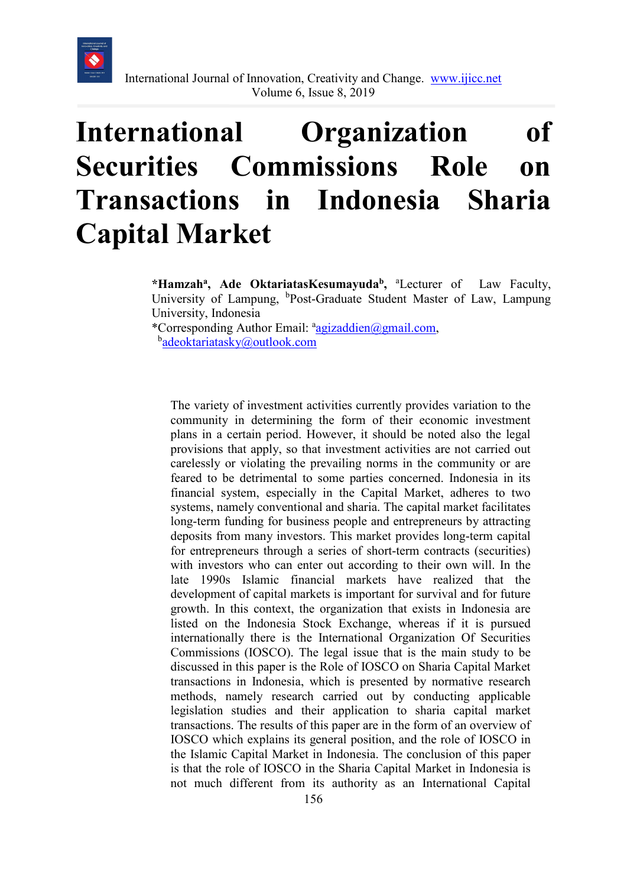

# **International Organization of Securities Commissions Role on Transactions in Indonesia Sharia Capital Market**

\*Hamzah<sup>a</sup>, Ade OktariatasKesumayuda<sup>b</sup>, <sup>a</sup>Lecturer of Law Faculty, University of Lampung, <sup>b</sup>Post-Graduate Student Master of Law, Lampung University, Indonesia

\*Corresponding Author Email: <sup>a</sup>[agizaddien@gmail.com,](mailto:aagizaddien@gmail.com) b<sub>[adeoktariatasky@outlook.com](mailto:badeoktariatasky@outlook.com)</sub>

The variety of investment activities currently provides variation to the community in determining the form of their economic investment plans in a certain period. However, it should be noted also the legal provisions that apply, so that investment activities are not carried out carelessly or violating the prevailing norms in the community or are feared to be detrimental to some parties concerned. Indonesia in its financial system, especially in the Capital Market, adheres to two systems, namely conventional and sharia. The capital market facilitates long-term funding for business people and entrepreneurs by attracting deposits from many investors. This market provides long-term capital for entrepreneurs through a series of short-term contracts (securities) with investors who can enter out according to their own will. In the late 1990s Islamic financial markets have realized that the development of capital markets is important for survival and for future growth. In this context, the organization that exists in Indonesia are listed on the Indonesia Stock Exchange, whereas if it is pursued internationally there is the International Organization Of Securities Commissions (IOSCO). The legal issue that is the main study to be discussed in this paper is the Role of IOSCO on Sharia Capital Market transactions in Indonesia, which is presented by normative research methods, namely research carried out by conducting applicable legislation studies and their application to sharia capital market transactions. The results of this paper are in the form of an overview of IOSCO which explains its general position, and the role of IOSCO in the Islamic Capital Market in Indonesia. The conclusion of this paper is that the role of IOSCO in the Sharia Capital Market in Indonesia is not much different from its authority as an International Capital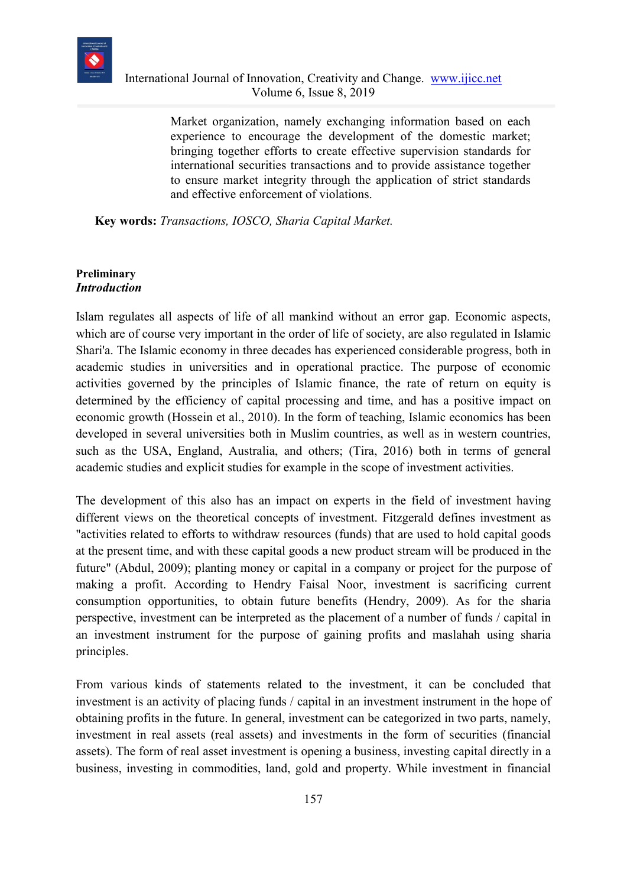

Market organization, namely exchanging information based on each experience to encourage the development of the domestic market; bringing together efforts to create effective supervision standards for international securities transactions and to provide assistance together to ensure market integrity through the application of strict standards and effective enforcement of violations.

**Key words:** *Transactions, IOSCO, Sharia Capital Market.* 

#### **Preliminary** *Introduction*

Islam regulates all aspects of life of all mankind without an error gap. Economic aspects, which are of course very important in the order of life of society, are also regulated in Islamic Shari'a. The Islamic economy in three decades has experienced considerable progress, both in academic studies in universities and in operational practice. The purpose of economic activities governed by the principles of Islamic finance, the rate of return on equity is determined by the efficiency of capital processing and time, and has a positive impact on economic growth (Hossein et al., 2010). In the form of teaching, Islamic economics has been developed in several universities both in Muslim countries, as well as in western countries, such as the USA, England, Australia, and others; (Tira, 2016) both in terms of general academic studies and explicit studies for example in the scope of investment activities.

The development of this also has an impact on experts in the field of investment having different views on the theoretical concepts of investment. Fitzgerald defines investment as "activities related to efforts to withdraw resources (funds) that are used to hold capital goods at the present time, and with these capital goods a new product stream will be produced in the future" (Abdul, 2009); planting money or capital in a company or project for the purpose of making a profit. According to Hendry Faisal Noor, investment is sacrificing current consumption opportunities, to obtain future benefits (Hendry, 2009). As for the sharia perspective, investment can be interpreted as the placement of a number of funds / capital in an investment instrument for the purpose of gaining profits and maslahah using sharia principles.

From various kinds of statements related to the investment, it can be concluded that investment is an activity of placing funds / capital in an investment instrument in the hope of obtaining profits in the future. In general, investment can be categorized in two parts, namely, investment in real assets (real assets) and investments in the form of securities (financial assets). The form of real asset investment is opening a business, investing capital directly in a business, investing in commodities, land, gold and property. While investment in financial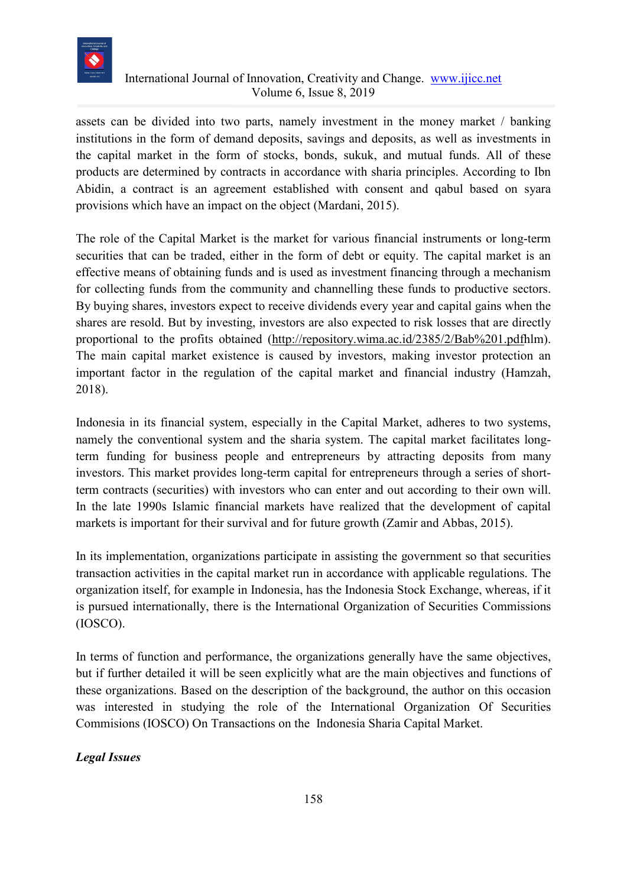

assets can be divided into two parts, namely investment in the money market / banking institutions in the form of demand deposits, savings and deposits, as well as investments in the capital market in the form of stocks, bonds, sukuk, and mutual funds. All of these products are determined by contracts in accordance with sharia principles. According to Ibn Abidin, a contract is an agreement established with consent and qabul based on syara provisions which have an impact on the object (Mardani, 2015).

The role of the Capital Market is the market for various financial instruments or long-term securities that can be traded, either in the form of debt or equity. The capital market is an effective means of obtaining funds and is used as investment financing through a mechanism for collecting funds from the community and channelling these funds to productive sectors. By buying shares, investors expect to receive dividends every year and capital gains when the shares are resold. But by investing, investors are also expected to risk losses that are directly proportional to the profits obtained [\(http://repository.wima.ac.id/2385/2/Bab%201.pdfh](http://repository.wima.ac.id/2385/2/Bab%201.pdf)lm). The main capital market existence is caused by investors, making investor protection an important factor in the regulation of the capital market and financial industry (Hamzah, 2018).

Indonesia in its financial system, especially in the Capital Market, adheres to two systems, namely the conventional system and the sharia system. The capital market facilitates longterm funding for business people and entrepreneurs by attracting deposits from many investors. This market provides long-term capital for entrepreneurs through a series of shortterm contracts (securities) with investors who can enter and out according to their own will. In the late 1990s Islamic financial markets have realized that the development of capital markets is important for their survival and for future growth (Zamir and Abbas, 2015).

In its implementation, organizations participate in assisting the government so that securities transaction activities in the capital market run in accordance with applicable regulations. The organization itself, for example in Indonesia, has the Indonesia Stock Exchange, whereas, if it is pursued internationally, there is the International Organization of Securities Commissions (IOSCO).

In terms of function and performance, the organizations generally have the same objectives, but if further detailed it will be seen explicitly what are the main objectives and functions of these organizations. Based on the description of the background, the author on this occasion was interested in studying the role of the International Organization Of Securities Commisions (IOSCO) On Transactions on the Indonesia Sharia Capital Market.

# *Legal Issues*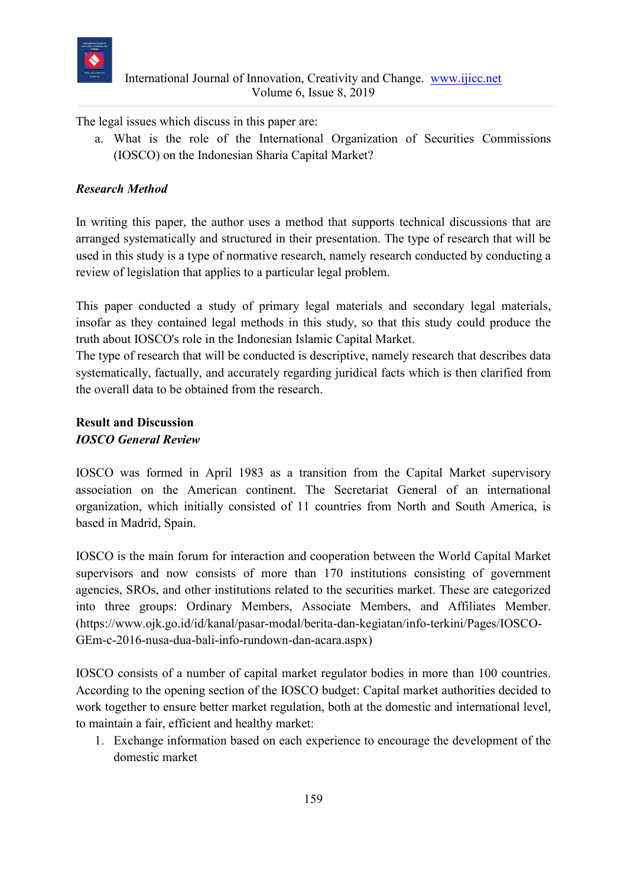

The legal issues which discuss in this paper are:

a. What is the role of the International Organization of Securities Commissions (IOSCO) on the Indonesian Sharia Capital Market?

## *Research Method*

In writing this paper, the author uses a method that supports technical discussions that are arranged systematically and structured in their presentation. The type of research that will be used in this study is a type of normative research, namely research conducted by conducting a review of legislation that applies to a particular legal problem.

This paper conducted a study of primary legal materials and secondary legal materials, insofar as they contained legal methods in this study, so that this study could produce the truth about IOSCO's role in the Indonesian Islamic Capital Market.

The type of research that will be conducted is descriptive, namely research that describes data systematically, factually, and accurately regarding juridical facts which is then clarified from the overall data to be obtained from the research.

### **Result and Discussion** *IOSCO General Review*

IOSCO was formed in April 1983 as a transition from the Capital Market supervisory association on the American continent. The Secretariat General of an international organization, which initially consisted of 11 countries from North and South America, is based in Madrid, Spain.

IOSCO is the main forum for interaction and cooperation between the World Capital Market supervisors and now consists of more than 170 institutions consisting of government agencies, SROs, and other institutions related to the securities market. These are categorized into three groups: Ordinary Members, Associate Members, and Affiliates Member. (https://www.ojk.go.id/id/kanal/pasar-modal/berita-dan-kegiatan/info-terkini/Pages/IOSCO-GEm-c-2016-nusa-dua-bali-info-rundown-dan-acara.aspx)

IOSCO consists of a number of capital market regulator bodies in more than 100 countries. According to the opening section of the IOSCO budget: Capital market authorities decided to work together to ensure better market regulation, both at the domestic and international level, to maintain a fair, efficient and healthy market:

1. Exchange information based on each experience to encourage the development of the domestic market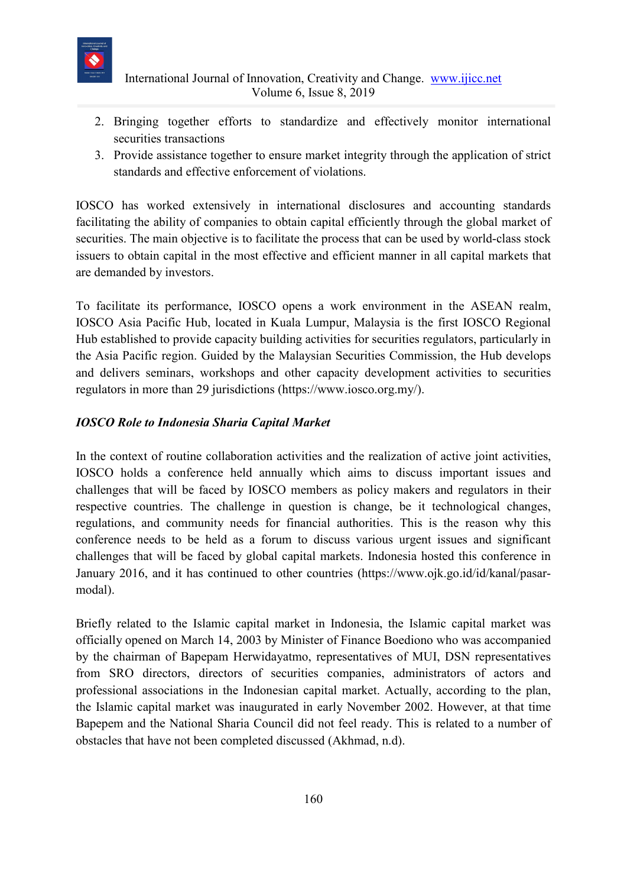

- 2. Bringing together efforts to standardize and effectively monitor international securities transactions
- 3. Provide assistance together to ensure market integrity through the application of strict standards and effective enforcement of violations.

IOSCO has worked extensively in international disclosures and accounting standards facilitating the ability of companies to obtain capital efficiently through the global market of securities. The main objective is to facilitate the process that can be used by world-class stock issuers to obtain capital in the most effective and efficient manner in all capital markets that are demanded by investors.

To facilitate its performance, IOSCO opens a work environment in the ASEAN realm, IOSCO Asia Pacific Hub, located in Kuala Lumpur, Malaysia is the first IOSCO Regional Hub established to provide capacity building activities for securities regulators, particularly in the Asia Pacific region. Guided by the Malaysian Securities Commission, the Hub develops and delivers seminars, workshops and other capacity development activities to securities regulators in more than 29 jurisdictions (https://www.iosco.org.my/).

## *IOSCO Role to Indonesia Sharia Capital Market*

In the context of routine collaboration activities and the realization of active joint activities, IOSCO holds a conference held annually which aims to discuss important issues and challenges that will be faced by IOSCO members as policy makers and regulators in their respective countries. The challenge in question is change, be it technological changes, regulations, and community needs for financial authorities. This is the reason why this conference needs to be held as a forum to discuss various urgent issues and significant challenges that will be faced by global capital markets. Indonesia hosted this conference in January 2016, and it has continued to other countries (https://www.ojk.go.id/id/kanal/pasarmodal).

Briefly related to the Islamic capital market in Indonesia, the Islamic capital market was officially opened on March 14, 2003 by Minister of Finance Boediono who was accompanied by the chairman of Bapepam Herwidayatmo, representatives of MUI, DSN representatives from SRO directors, directors of securities companies, administrators of actors and professional associations in the Indonesian capital market. Actually, according to the plan, the Islamic capital market was inaugurated in early November 2002. However, at that time Bapepem and the National Sharia Council did not feel ready. This is related to a number of obstacles that have not been completed discussed (Akhmad, n.d).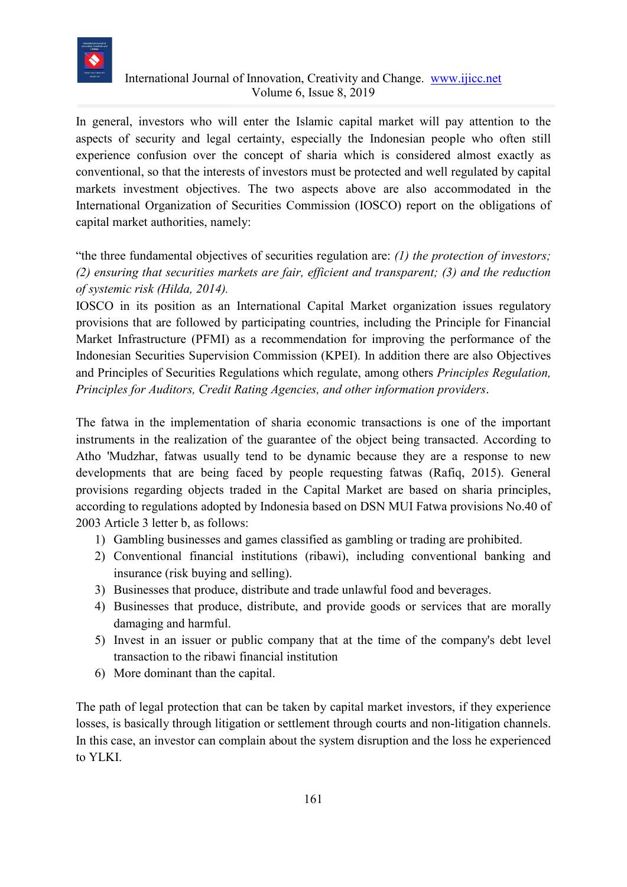

In general, investors who will enter the Islamic capital market will pay attention to the aspects of security and legal certainty, especially the Indonesian people who often still experience confusion over the concept of sharia which is considered almost exactly as conventional, so that the interests of investors must be protected and well regulated by capital markets investment objectives. The two aspects above are also accommodated in the International Organization of Securities Commission (IOSCO) report on the obligations of capital market authorities, namely:

"the three fundamental objectives of securities regulation are: *(1) the protection of investors; (2) ensuring that securities markets are fair, efficient and transparent; (3) and the reduction of systemic risk (Hilda, 2014).*

IOSCO in its position as an International Capital Market organization issues regulatory provisions that are followed by participating countries, including the Principle for Financial Market Infrastructure (PFMI) as a recommendation for improving the performance of the Indonesian Securities Supervision Commission (KPEI). In addition there are also Objectives and Principles of Securities Regulations which regulate, among others *Principles Regulation, Principles for Auditors, Credit Rating Agencies, and other information providers*.

The fatwa in the implementation of sharia economic transactions is one of the important instruments in the realization of the guarantee of the object being transacted. According to Atho 'Mudzhar, fatwas usually tend to be dynamic because they are a response to new developments that are being faced by people requesting fatwas (Rafiq, 2015). General provisions regarding objects traded in the Capital Market are based on sharia principles, according to regulations adopted by Indonesia based on DSN MUI Fatwa provisions No.40 of 2003 Article 3 letter b, as follows:

- 1) Gambling businesses and games classified as gambling or trading are prohibited.
- 2) Conventional financial institutions (ribawi), including conventional banking and insurance (risk buying and selling).
- 3) Businesses that produce, distribute and trade unlawful food and beverages.
- 4) Businesses that produce, distribute, and provide goods or services that are morally damaging and harmful.
- 5) Invest in an issuer or public company that at the time of the company's debt level transaction to the ribawi financial institution
- 6) More dominant than the capital.

The path of legal protection that can be taken by capital market investors, if they experience losses, is basically through litigation or settlement through courts and non-litigation channels. In this case, an investor can complain about the system disruption and the loss he experienced to YLKI.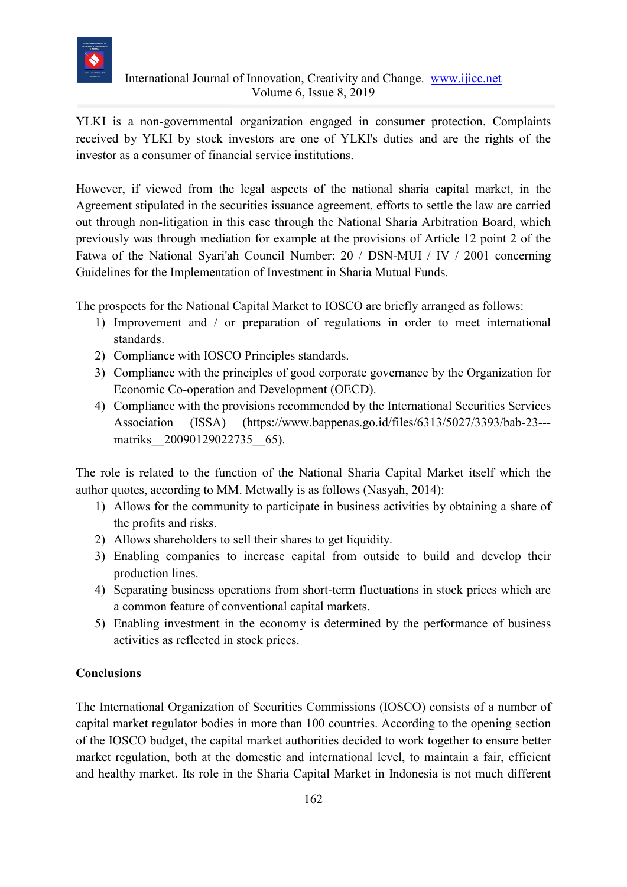

YLKI is a non-governmental organization engaged in consumer protection. Complaints received by YLKI by stock investors are one of YLKI's duties and are the rights of the investor as a consumer of financial service institutions.

However, if viewed from the legal aspects of the national sharia capital market, in the Agreement stipulated in the securities issuance agreement, efforts to settle the law are carried out through non-litigation in this case through the National Sharia Arbitration Board, which previously was through mediation for example at the provisions of Article 12 point 2 of the Fatwa of the National Syari'ah Council Number: 20 / DSN-MUI / IV / 2001 concerning Guidelines for the Implementation of Investment in Sharia Mutual Funds.

The prospects for the National Capital Market to IOSCO are briefly arranged as follows:

- 1) Improvement and / or preparation of regulations in order to meet international standards.
- 2) Compliance with IOSCO Principles standards.
- 3) Compliance with the principles of good corporate governance by the Organization for Economic Co-operation and Development (OECD).
- 4) Compliance with the provisions recommended by the International Securities Services Association (ISSA) (https://www.bappenas.go.id/files/6313/5027/3393/bab-23-- matriks 20090129022735 65).

The role is related to the function of the National Sharia Capital Market itself which the author quotes, according to MM. Metwally is as follows (Nasyah, 2014):

- 1) Allows for the community to participate in business activities by obtaining a share of the profits and risks.
- 2) Allows shareholders to sell their shares to get liquidity.
- 3) Enabling companies to increase capital from outside to build and develop their production lines.
- 4) Separating business operations from short-term fluctuations in stock prices which are a common feature of conventional capital markets.
- 5) Enabling investment in the economy is determined by the performance of business activities as reflected in stock prices.

# **Conclusions**

The International Organization of Securities Commissions (IOSCO) consists of a number of capital market regulator bodies in more than 100 countries. According to the opening section of the IOSCO budget, the capital market authorities decided to work together to ensure better market regulation, both at the domestic and international level, to maintain a fair, efficient and healthy market. Its role in the Sharia Capital Market in Indonesia is not much different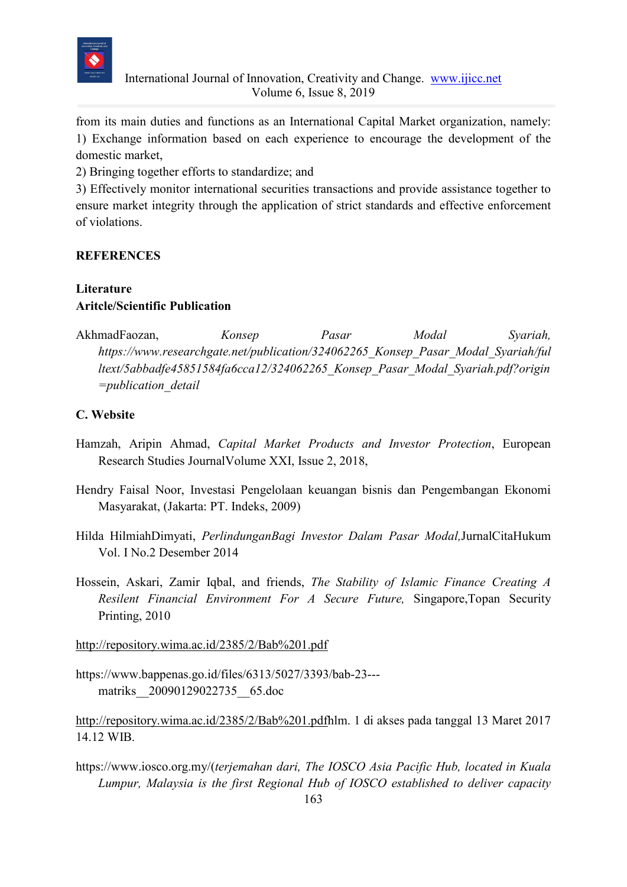

from its main duties and functions as an International Capital Market organization, namely: 1) Exchange information based on each experience to encourage the development of the domestic market,

2) Bringing together efforts to standardize; and

3) Effectively monitor international securities transactions and provide assistance together to ensure market integrity through the application of strict standards and effective enforcement of violations.

## **REFERENCES**

# **Literature Aritcle/Scientific Publication**

AkhmadFaozan, *Konsep Pasar Modal Syariah, https://www.researchgate.net/publication/324062265\_Konsep\_Pasar\_Modal\_Syariah/ful ltext/5abbadfe45851584fa6cca12/324062265\_Konsep\_Pasar\_Modal\_Syariah.pdf?origin =publication\_detail*

# **C. Website**

- Hamzah, Aripin Ahmad, *Capital Market Products and Investor Protection*, European Research Studies JournalVolume XXI, Issue 2, 2018,
- Hendry Faisal Noor, Investasi Pengelolaan keuangan bisnis dan Pengembangan Ekonomi Masyarakat, (Jakarta: PT. Indeks, 2009)
- Hilda HilmiahDimyati, *PerlindunganBagi Investor Dalam Pasar Modal,*JurnalCitaHukum Vol. I No.2 Desember 2014
- Hossein, Askari, Zamir Iqbal, and friends, *The Stability of Islamic Finance Creating A Resilent Financial Environment For A Secure Future,* Singapore,Topan Security Printing, 2010

<http://repository.wima.ac.id/2385/2/Bab%201.pdf>

https://www.bappenas.go.id/files/6313/5027/3393/bab-23-- matriks\_\_20090129022735\_\_65.doc

[http://repository.wima.ac.id/2385/2/Bab%201.pdfh](http://repository.wima.ac.id/2385/2/Bab%201.pdf)lm. 1 di akses pada tanggal 13 Maret 2017 14.12 WIB.

https://www.iosco.org.my/(*terjemahan dari, The IOSCO Asia Pacific Hub, located in Kuala Lumpur, Malaysia is the first Regional Hub of IOSCO established to deliver capacity*